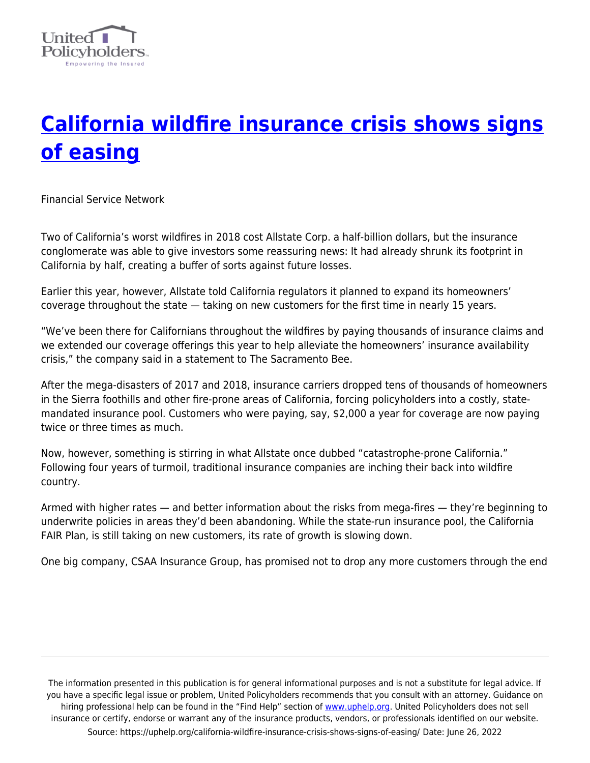

# **[California wildfire insurance crisis shows signs](https://uphelp.org/california-wildfire-insurance-crisis-shows-signs-of-easing/) [of easing](https://uphelp.org/california-wildfire-insurance-crisis-shows-signs-of-easing/)**

Financial Service Network

Two of California's worst wildfires in 2018 cost Allstate Corp. a half-billion dollars, but the insurance conglomerate was able to give investors some reassuring news: It had already shrunk its footprint in California by half, creating a buffer of sorts against future losses.

Earlier this year, however, Allstate told California regulators it planned to expand its homeowners' coverage throughout the state — taking on new customers for the first time in nearly 15 years.

"We've been there for Californians throughout the wildfires by paying thousands of insurance claims and we extended our coverage offerings this year to help alleviate the homeowners' insurance availability crisis," the company said in a statement to The Sacramento Bee.

After the mega-disasters of 2017 and 2018, insurance carriers dropped tens of thousands of homeowners in the Sierra foothills and other fire-prone areas of California, forcing policyholders into a costly, statemandated insurance pool. Customers who were paying, say, \$2,000 a year for coverage are now paying twice or three times as much.

Now, however, something is stirring in what Allstate once dubbed "catastrophe-prone California." Following four years of turmoil, traditional insurance companies are inching their back into wildfire country.

Armed with higher rates — and better information about the risks from mega-fires — they're beginning to underwrite policies in areas they'd been abandoning. While the state-run insurance pool, the California FAIR Plan, is still taking on new customers, its rate of growth is slowing down.

One big company, CSAA Insurance Group, has promised not to drop any more customers through the end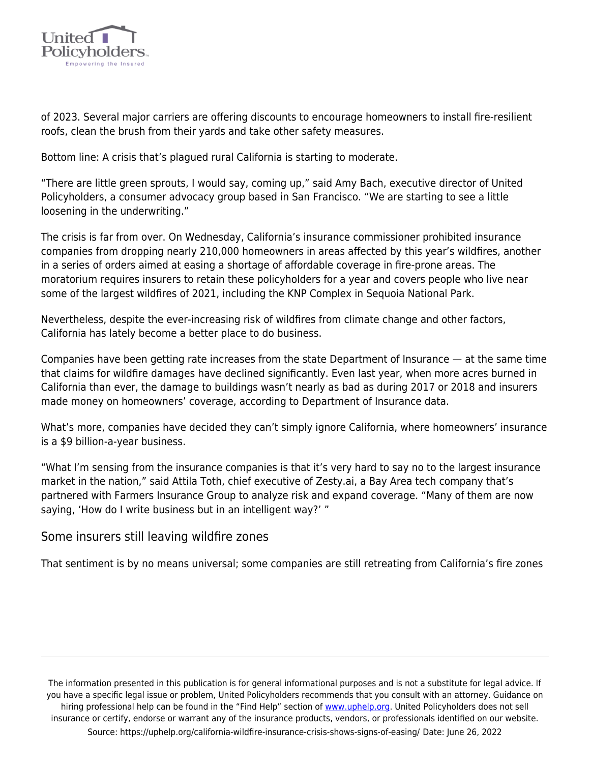

of 2023. Several major carriers are offering discounts to encourage homeowners to install fire-resilient roofs, clean the brush from their yards and take other safety measures.

Bottom line: A crisis that's plagued rural California is starting to moderate.

"There are little green sprouts, I would say, coming up," said Amy Bach, executive director of United Policyholders, a consumer advocacy group based in San Francisco. "We are starting to see a little loosening in the underwriting."

The crisis is far from over. On Wednesday, California's insurance commissioner prohibited insurance companies from dropping nearly 210,000 homeowners in areas affected by this year's wildfires, another in a series of orders aimed at easing a shortage of affordable coverage in fire-prone areas. The moratorium requires insurers to retain these policyholders for a year and covers people who live near some of the largest wildfires of 2021, including the KNP Complex in Sequoia National Park.

Nevertheless, despite the ever-increasing risk of wildfires from climate change and other factors, California has lately become a better place to do business.

Companies have been getting rate increases from the state Department of Insurance — at the same time that claims for wildfire damages have declined significantly. Even last year, when more acres burned in California than ever, the damage to buildings wasn't nearly as bad as during 2017 or 2018 and insurers made money on homeowners' coverage, according to Department of Insurance data.

What's more, companies have decided they can't simply ignore California, where homeowners' insurance is a \$9 billion-a-year business.

"What I'm sensing from the insurance companies is that it's very hard to say no to the largest insurance market in the nation," said Attila Toth, chief executive of Zesty.ai, a Bay Area tech company that's partnered with Farmers Insurance Group to analyze risk and expand coverage. "Many of them are now saying, 'How do I write business but in an intelligent way?' "

### Some insurers still leaving wildfire zones

That sentiment is by no means universal; some companies are still retreating from California's fire zones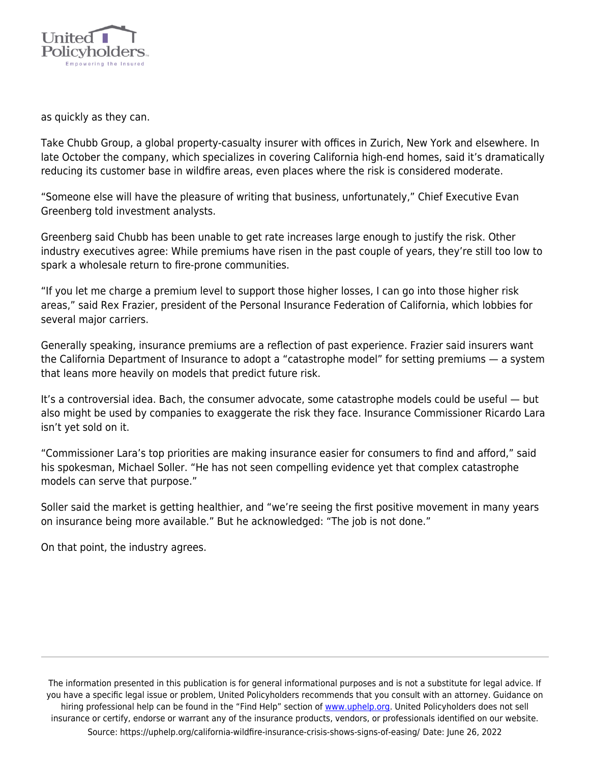

as quickly as they can.

Take Chubb Group, a global property-casualty insurer with offices in Zurich, New York and elsewhere. In late October the company, which specializes in covering California high-end homes, said it's dramatically reducing its customer base in wildfire areas, even places where the risk is considered moderate.

"Someone else will have the pleasure of writing that business, unfortunately," Chief Executive Evan Greenberg told investment analysts.

Greenberg said Chubb has been unable to get rate increases large enough to justify the risk. Other industry executives agree: While premiums have risen in the past couple of years, they're still too low to spark a wholesale return to fire-prone communities.

"If you let me charge a premium level to support those higher losses, I can go into those higher risk areas," said Rex Frazier, president of the Personal Insurance Federation of California, which lobbies for several major carriers.

Generally speaking, insurance premiums are a reflection of past experience. Frazier said insurers want the California Department of Insurance to adopt a "catastrophe model" for setting premiums — a system that leans more heavily on models that predict future risk.

It's a controversial idea. Bach, the consumer advocate, some catastrophe models could be useful — but also might be used by companies to exaggerate the risk they face. Insurance Commissioner Ricardo Lara isn't yet sold on it.

"Commissioner Lara's top priorities are making insurance easier for consumers to find and afford," said his spokesman, Michael Soller. "He has not seen compelling evidence yet that complex catastrophe models can serve that purpose."

Soller said the market is getting healthier, and "we're seeing the first positive movement in many years on insurance being more available." But he acknowledged: "The job is not done."

On that point, the industry agrees.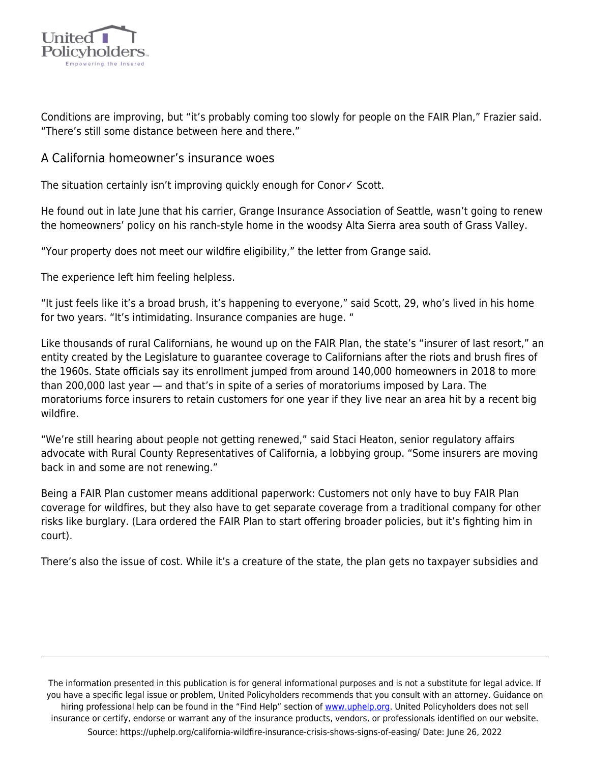

Conditions are improving, but "it's probably coming too slowly for people on the FAIR Plan," Frazier said. "There's still some distance between here and there."

## A California homeowner's insurance woes

The situation certainly isn't improving quickly enough for Conor∠ Scott.

He found out in late June that his carrier, Grange Insurance Association of Seattle, wasn't going to renew the homeowners' policy on his ranch-style home in the woodsy Alta Sierra area south of Grass Valley.

"Your property does not meet our wildfire eligibility," the letter from Grange said.

The experience left him feeling helpless.

"It just feels like it's a broad brush, it's happening to everyone," said Scott, 29, who's lived in his home for two years. "It's intimidating. Insurance companies are huge. "

Like thousands of rural Californians, he wound up on the FAIR Plan, the state's "insurer of last resort," an entity created by the Legislature to guarantee coverage to Californians after the riots and brush fires of the 1960s. State officials say its enrollment jumped from around 140,000 homeowners in 2018 to more than 200,000 last year — and that's in spite of a series of moratoriums imposed by Lara. The moratoriums force insurers to retain customers for one year if they live near an area hit by a recent big wildfire.

"We're still hearing about people not getting renewed," said Staci Heaton, senior regulatory affairs advocate with Rural County Representatives of California, a lobbying group. "Some insurers are moving back in and some are not renewing."

Being a FAIR Plan customer means additional paperwork: Customers not only have to buy FAIR Plan coverage for wildfires, but they also have to get separate coverage from a traditional company for other risks like burglary. (Lara ordered the FAIR Plan to start offering broader policies, but it's fighting him in court).

There's also the issue of cost. While it's a creature of the state, the plan gets no taxpayer subsidies and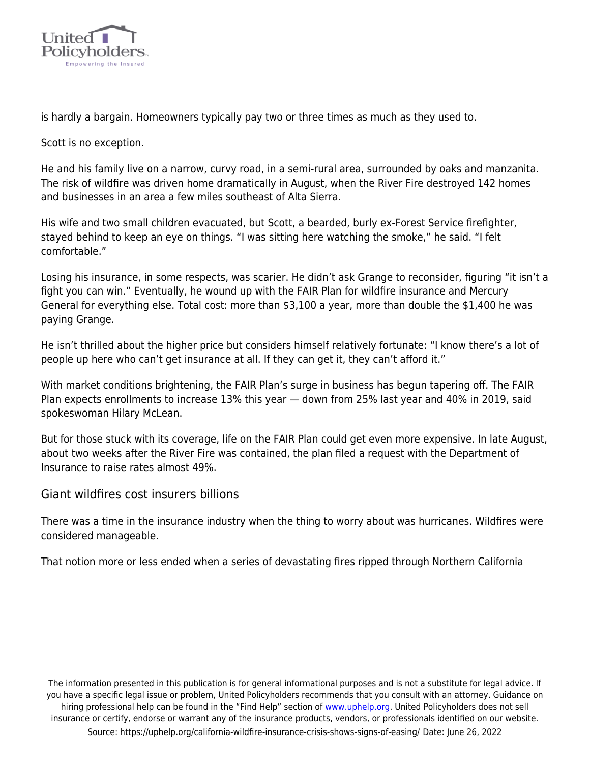

is hardly a bargain. Homeowners typically pay two or three times as much as they used to.

Scott is no exception.

He and his family live on a narrow, curvy road, in a semi-rural area, surrounded by oaks and manzanita. The risk of wildfire was driven home dramatically in August, when the River Fire destroyed 142 homes and businesses in an area a few miles southeast of Alta Sierra.

His wife and two small children evacuated, but Scott, a bearded, burly ex-Forest Service firefighter, stayed behind to keep an eye on things. "I was sitting here watching the smoke," he said. "I felt comfortable."

Losing his insurance, in some respects, was scarier. He didn't ask Grange to reconsider, figuring "it isn't a fight you can win." Eventually, he wound up with the FAIR Plan for wildfire insurance and Mercury General for everything else. Total cost: more than \$3,100 a year, more than double the \$1,400 he was paying Grange.

He isn't thrilled about the higher price but considers himself relatively fortunate: "I know there's a lot of people up here who can't get insurance at all. If they can get it, they can't afford it."

With market conditions brightening, the FAIR Plan's surge in business has begun tapering off. The FAIR Plan expects enrollments to increase 13% this year — down from 25% last year and 40% in 2019, said spokeswoman Hilary McLean.

But for those stuck with its coverage, life on the FAIR Plan could get even more expensive. In late August, about two weeks after the River Fire was contained, the plan filed a request with the Department of Insurance to raise rates almost 49%.

### Giant wildfires cost insurers billions

There was a time in the insurance industry when the thing to worry about was hurricanes. Wildfires were considered manageable.

That notion more or less ended when a series of devastating fires ripped through Northern California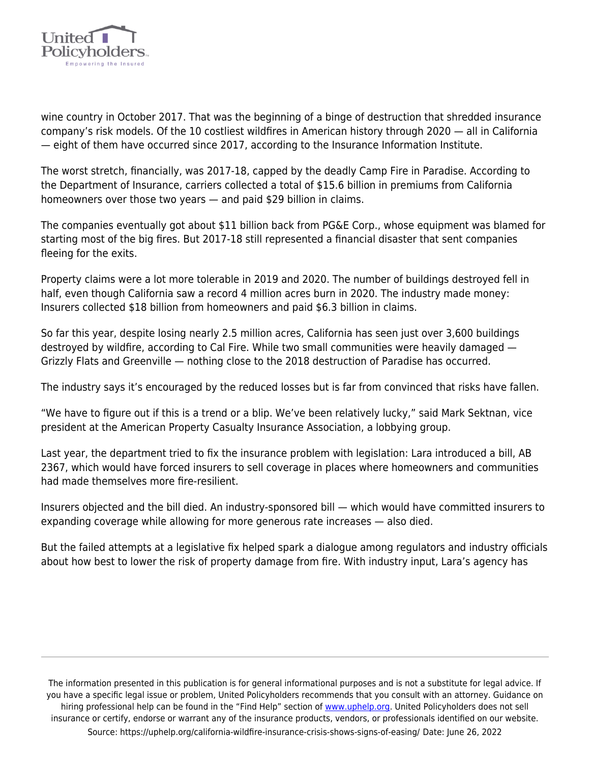

wine country in October 2017. That was the beginning of a binge of destruction that shredded insurance company's risk models. Of the 10 costliest wildfires in American history through 2020 — all in California — eight of them have occurred since 2017, according to the Insurance Information Institute.

The worst stretch, financially, was 2017-18, capped by the deadly Camp Fire in Paradise. According to the Department of Insurance, carriers collected a total of \$15.6 billion in premiums from California homeowners over those two years — and paid \$29 billion in claims.

The companies eventually got about \$11 billion back from PG&E Corp., whose equipment was blamed for starting most of the big fires. But 2017-18 still represented a financial disaster that sent companies fleeing for the exits.

Property claims were a lot more tolerable in 2019 and 2020. The number of buildings destroyed fell in half, even though California saw a record 4 million acres burn in 2020. The industry made money: Insurers collected \$18 billion from homeowners and paid \$6.3 billion in claims.

So far this year, despite losing nearly 2.5 million acres, California has seen just over 3,600 buildings destroyed by wildfire, according to Cal Fire. While two small communities were heavily damaged — Grizzly Flats and Greenville — nothing close to the 2018 destruction of Paradise has occurred.

The industry says it's encouraged by the reduced losses but is far from convinced that risks have fallen.

"We have to figure out if this is a trend or a blip. We've been relatively lucky," said Mark Sektnan, vice president at the American Property Casualty Insurance Association, a lobbying group.

Last year, the department tried to fix the insurance problem with legislation: Lara introduced a bill, AB 2367, which would have forced insurers to sell coverage in places where homeowners and communities had made themselves more fire-resilient.

Insurers objected and the bill died. An industry-sponsored bill — which would have committed insurers to expanding coverage while allowing for more generous rate increases — also died.

But the failed attempts at a legislative fix helped spark a dialogue among regulators and industry officials about how best to lower the risk of property damage from fire. With industry input, Lara's agency has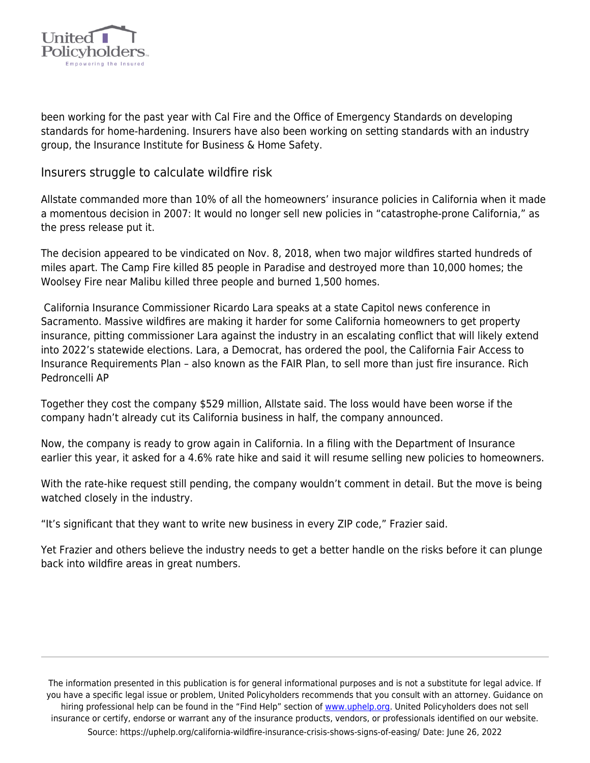

been working for the past year with Cal Fire and the Office of Emergency Standards on developing standards for home-hardening. Insurers have also been working on setting standards with an industry group, the Insurance Institute for Business & Home Safety.

#### Insurers struggle to calculate wildfire risk

Allstate commanded more than 10% of all the homeowners' insurance policies in California when it made a momentous decision in 2007: It would no longer sell new policies in "catastrophe-prone California," as the press release put it.

The decision appeared to be vindicated on Nov. 8, 2018, when two major wildfires started hundreds of miles apart. The Camp Fire killed 85 people in Paradise and destroyed more than 10,000 homes; the Woolsey Fire near Malibu killed three people and burned 1,500 homes.

 California Insurance Commissioner Ricardo Lara speaks at a state Capitol news conference in Sacramento. Massive wildfires are making it harder for some California homeowners to get property insurance, pitting commissioner Lara against the industry in an escalating conflict that will likely extend into 2022's statewide elections. Lara, a Democrat, has ordered the pool, the California Fair Access to Insurance Requirements Plan – also known as the FAIR Plan, to sell more than just fire insurance. Rich Pedroncelli AP

Together they cost the company \$529 million, Allstate said. The loss would have been worse if the company hadn't already cut its California business in half, the company announced.

Now, the company is ready to grow again in California. In a filing with the Department of Insurance earlier this year, it asked for a 4.6% rate hike and said it will resume selling new policies to homeowners.

With the rate-hike request still pending, the company wouldn't comment in detail. But the move is being watched closely in the industry.

"It's significant that they want to write new business in every ZIP code," Frazier said.

Yet Frazier and others believe the industry needs to get a better handle on the risks before it can plunge back into wildfire areas in great numbers.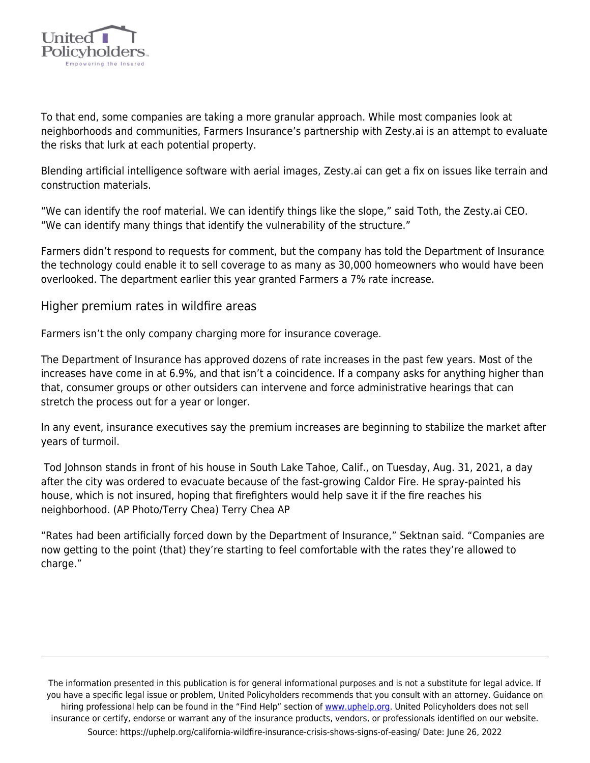

To that end, some companies are taking a more granular approach. While most companies look at neighborhoods and communities, Farmers Insurance's partnership with Zesty.ai is an attempt to evaluate the risks that lurk at each potential property.

Blending artificial intelligence software with aerial images, Zesty.ai can get a fix on issues like terrain and construction materials.

"We can identify the roof material. We can identify things like the slope," said Toth, the Zesty.ai CEO. "We can identify many things that identify the vulnerability of the structure."

Farmers didn't respond to requests for comment, but the company has told the Department of Insurance the technology could enable it to sell coverage to as many as 30,000 homeowners who would have been overlooked. The department earlier this year granted Farmers a 7% rate increase.

### Higher premium rates in wildfire areas

Farmers isn't the only company charging more for insurance coverage.

The Department of Insurance has approved dozens of rate increases in the past few years. Most of the increases have come in at 6.9%, and that isn't a coincidence. If a company asks for anything higher than that, consumer groups or other outsiders can intervene and force administrative hearings that can stretch the process out for a year or longer.

In any event, insurance executives say the premium increases are beginning to stabilize the market after years of turmoil.

 Tod Johnson stands in front of his house in South Lake Tahoe, Calif., on Tuesday, Aug. 31, 2021, a day after the city was ordered to evacuate because of the fast-growing Caldor Fire. He spray-painted his house, which is not insured, hoping that firefighters would help save it if the fire reaches his neighborhood. (AP Photo/Terry Chea) Terry Chea AP

"Rates had been artificially forced down by the Department of Insurance," Sektnan said. "Companies are now getting to the point (that) they're starting to feel comfortable with the rates they're allowed to charge."